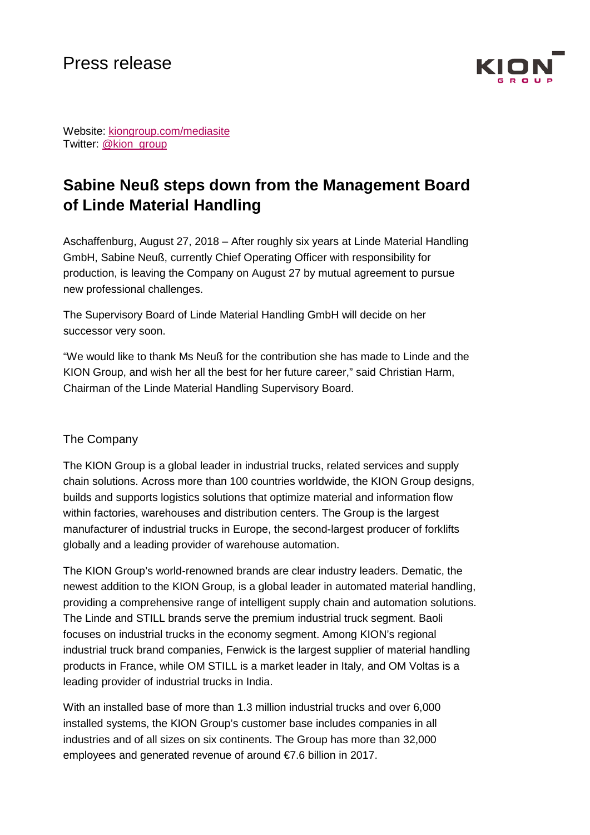

Website: [kiongroup.com/mediasite](http://www.kiongroup.com/medienseite) Twitter: [@kion\\_group](https://twitter.com/kion_group)

## **Sabine Neuß steps down from the Management Board of Linde Material Handling**

Aschaffenburg, August 27, 2018 – After roughly six years at Linde Material Handling GmbH, Sabine Neuß, currently Chief Operating Officer with responsibility for production, is leaving the Company on August 27 by mutual agreement to pursue new professional challenges.

The Supervisory Board of Linde Material Handling GmbH will decide on her successor very soon.

"We would like to thank Ms Neuß for the contribution she has made to Linde and the KION Group, and wish her all the best for her future career," said Christian Harm, Chairman of the Linde Material Handling Supervisory Board.

## The Company

The KION Group is a global leader in industrial trucks, related services and supply chain solutions. Across more than 100 countries worldwide, the KION Group designs, builds and supports logistics solutions that optimize material and information flow within factories, warehouses and distribution centers. The Group is the largest manufacturer of industrial trucks in Europe, the second-largest producer of forklifts globally and a leading provider of warehouse automation.

The KION Group's world-renowned brands are clear industry leaders. Dematic, the newest addition to the KION Group, is a global leader in automated material handling, providing a comprehensive range of intelligent supply chain and automation solutions. The Linde and STILL brands serve the premium industrial truck segment. Baoli focuses on industrial trucks in the economy segment. Among KION's regional industrial truck brand companies, Fenwick is the largest supplier of material handling products in France, while OM STILL is a market leader in Italy, and OM Voltas is a leading provider of industrial trucks in India.

With an installed base of more than 1.3 million industrial trucks and over 6,000 installed systems, the KION Group's customer base includes companies in all industries and of all sizes on six continents. The Group has more than 32,000 employees and generated revenue of around €7.6 billion in 2017.